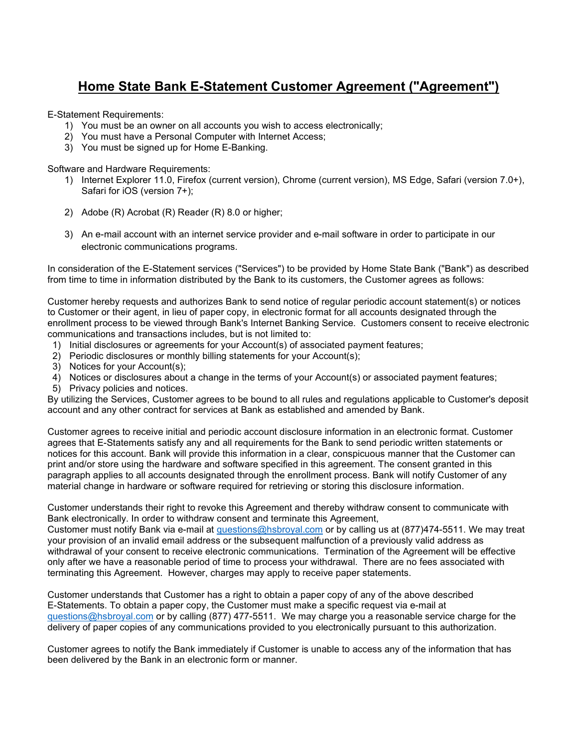## Home State Bank E-Statement Customer Agreement ("Agreement")

E-Statement Requirements:

- 1) You must be an owner on all accounts you wish to access electronically;
- 2) You must have a Personal Computer with Internet Access;
- 3) You must be signed up for Home E-Banking.

Software and Hardware Requirements:

- 1) Internet Explorer 11.0, Firefox (current version), Chrome (current version), MS Edge, Safari (version 7.0+), Safari for iOS (version 7+);
- 2) Adobe (R) Acrobat (R) Reader (R) 8.0 or higher;
- 3) An e-mail account with an internet service provider and e-mail software in order to participate in our electronic communications programs.

In consideration of the E-Statement services ("Services") to be provided by Home State Bank ("Bank") as described from time to time in information distributed by the Bank to its customers, the Customer agrees as follows:

Customer hereby requests and authorizes Bank to send notice of regular periodic account statement(s) or notices to Customer or their agent, in lieu of paper copy, in electronic format for all accounts designated through the enrollment process to be viewed through Bank's Internet Banking Service. Customers consent to receive electronic communications and transactions includes, but is not limited to:

- 1) Initial disclosures or agreements for your Account(s) of associated payment features;
- 2) Periodic disclosures or monthly billing statements for your Account(s);
- 3) Notices for your Account(s);
- 4) Notices or disclosures about a change in the terms of your Account(s) or associated payment features;
- 5) Privacy policies and notices.

By utilizing the Services, Customer agrees to be bound to all rules and regulations applicable to Customer's deposit account and any other contract for services at Bank as established and amended by Bank.

Customer agrees to receive initial and periodic account disclosure information in an electronic format. Customer agrees that E-Statements satisfy any and all requirements for the Bank to send periodic written statements or notices for this account. Bank will provide this information in a clear, conspicuous manner that the Customer can print and/or store using the hardware and software specified in this agreement. The consent granted in this paragraph applies to all accounts designated through the enrollment process. Bank will notify Customer of any material change in hardware or software required for retrieving or storing this disclosure information.

Customer understands their right to revoke this Agreement and thereby withdraw consent to communicate with Bank electronically. In order to withdraw consent and terminate this Agreement,

Customer must notify Bank via e-mail at questions@hsbroyal.com or by calling us at (877)474-5511. We may treat your provision of an invalid email address or the subsequent malfunction of a previously valid address as withdrawal of your consent to receive electronic communications. Termination of the Agreement will be effective only after we have a reasonable period of time to process your withdrawal. There are no fees associated with terminating this Agreement. However, charges may apply to receive paper statements.

Customer understands that Customer has a right to obtain a paper copy of any of the above described E-Statements. To obtain a paper copy, the Customer must make a specific request via e-mail at questions@hsbroyal.com or by calling (877) 477-5511. We may charge you a reasonable service charge for the delivery of paper copies of any communications provided to you electronically pursuant to this authorization.

Customer agrees to notify the Bank immediately if Customer is unable to access any of the information that has been delivered by the Bank in an electronic form or manner.